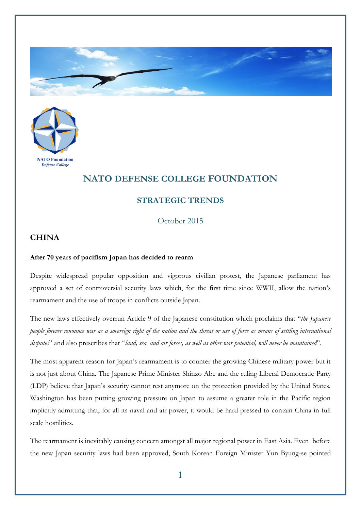



## **NATO DEFENSE COLLEGE FOUNDATION**

## **STRATEGIC TRENDS**

October 2015

## **CHINA**

## **After 70 years of pacifism Japan has decided to rearm**

Despite widespread popular opposition and vigorous civilian protest, the Japanese parliament has approved a set of controversial security laws which, for the first time since WWII, allow the nation's rearmament and the use of troops in conflicts outside Japan.

The new laws effectively overrun Article 9 of the Japanese constitution which proclaims that "*the Japanese people forever renounce war as a sovereign right of the nation and the threat or use of force as means of settling international disputes*" and also prescribes that "*land, sea, and air forces, as well as other war potential, will never be maintained*".

The most apparent reason for Japan's rearmament is to counter the growing Chinese military power but it is not just about China. The Japanese Prime Minister Shinzo Abe and the ruling Liberal Democratic Party (LDP) believe that Japan's security cannot rest anymore on the protection provided by the United States. Washington has been putting growing pressure on Japan to assume a greater role in the Pacific region implicitly admitting that, for all its naval and air power, it would be hard pressed to contain China in full scale hostilities.

The rearmament is inevitably causing concern amongst all major regional power in East Asia. Even before the new Japan security laws had been approved, South Korean Foreign Minister Yun Byung-se pointed